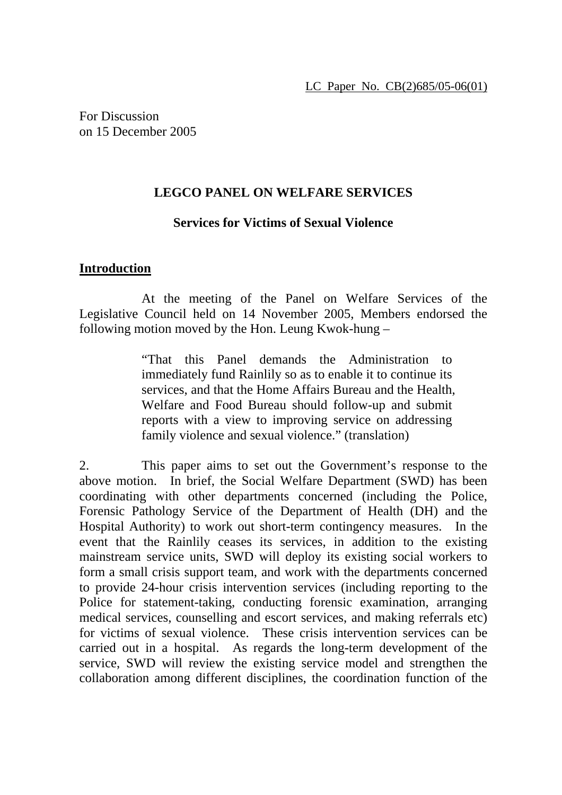For Discussion on 15 December 2005

## **LEGCO PANEL ON WELFARE SERVICES**

## **Services for Victims of Sexual Violence**

#### **Introduction**

 At the meeting of the Panel on Welfare Services of the Legislative Council held on 14 November 2005, Members endorsed the following motion moved by the Hon. Leung Kwok-hung –

> "That this Panel demands the Administration to immediately fund Rainlily so as to enable it to continue its services, and that the Home Affairs Bureau and the Health, Welfare and Food Bureau should follow-up and submit reports with a view to improving service on addressing family violence and sexual violence." (translation)

2. This paper aims to set out the Government's response to the above motion. In brief, the Social Welfare Department (SWD) has been coordinating with other departments concerned (including the Police, Forensic Pathology Service of the Department of Health (DH) and the Hospital Authority) to work out short-term contingency measures. In the event that the Rainlily ceases its services, in addition to the existing mainstream service units, SWD will deploy its existing social workers to form a small crisis support team, and work with the departments concerned to provide 24-hour crisis intervention services (including reporting to the Police for statement-taking, conducting forensic examination, arranging medical services, counselling and escort services, and making referrals etc) for victims of sexual violence. These crisis intervention services can be carried out in a hospital. As regards the long-term development of the service, SWD will review the existing service model and strengthen the collaboration among different disciplines, the coordination function of the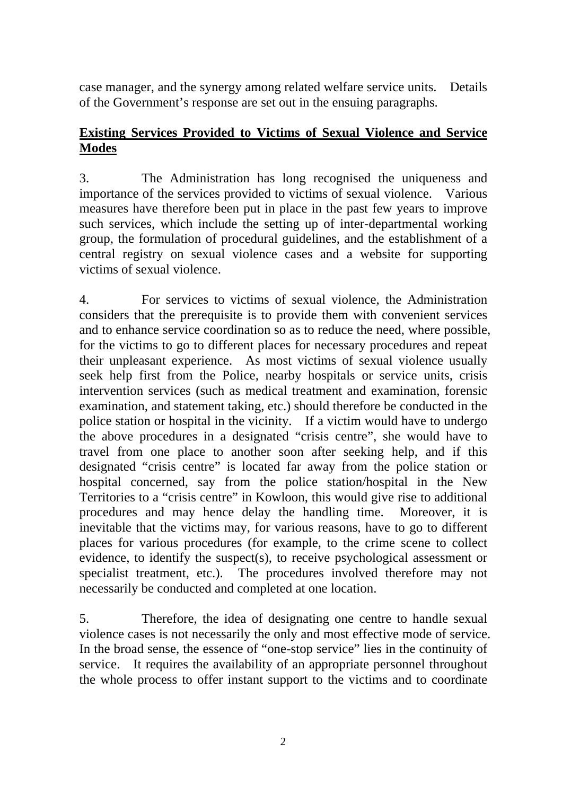case manager, and the synergy among related welfare service units. Details of the Government's response are set out in the ensuing paragraphs.

# **Existing Services Provided to Victims of Sexual Violence and Service Modes**

3. The Administration has long recognised the uniqueness and importance of the services provided to victims of sexual violence. Various measures have therefore been put in place in the past few years to improve such services, which include the setting up of inter-departmental working group, the formulation of procedural guidelines, and the establishment of a central registry on sexual violence cases and a website for supporting victims of sexual violence.

4. For services to victims of sexual violence, the Administration considers that the prerequisite is to provide them with convenient services and to enhance service coordination so as to reduce the need, where possible, for the victims to go to different places for necessary procedures and repeat their unpleasant experience. As most victims of sexual violence usually seek help first from the Police, nearby hospitals or service units, crisis intervention services (such as medical treatment and examination, forensic examination, and statement taking, etc.) should therefore be conducted in the police station or hospital in the vicinity. If a victim would have to undergo the above procedures in a designated "crisis centre", she would have to travel from one place to another soon after seeking help, and if this designated "crisis centre" is located far away from the police station or hospital concerned, say from the police station/hospital in the New Territories to a "crisis centre" in Kowloon, this would give rise to additional procedures and may hence delay the handling time. Moreover, it is inevitable that the victims may, for various reasons, have to go to different places for various procedures (for example, to the crime scene to collect evidence, to identify the suspect(s), to receive psychological assessment or specialist treatment, etc.). The procedures involved therefore may not necessarily be conducted and completed at one location.

5. Therefore, the idea of designating one centre to handle sexual violence cases is not necessarily the only and most effective mode of service. In the broad sense, the essence of "one-stop service" lies in the continuity of service. It requires the availability of an appropriate personnel throughout the whole process to offer instant support to the victims and to coordinate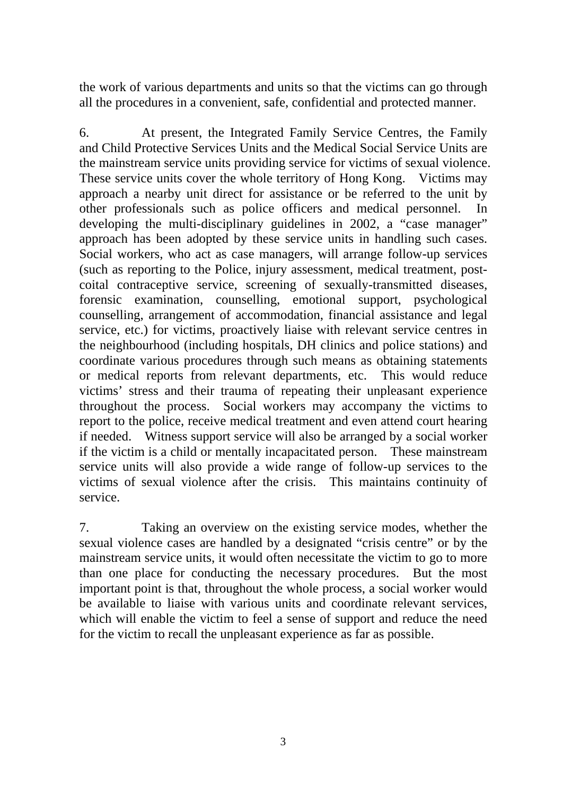the work of various departments and units so that the victims can go through all the procedures in a convenient, safe, confidential and protected manner.

6. At present, the Integrated Family Service Centres, the Family and Child Protective Services Units and the Medical Social Service Units are the mainstream service units providing service for victims of sexual violence. These service units cover the whole territory of Hong Kong. Victims may approach a nearby unit direct for assistance or be referred to the unit by other professionals such as police officers and medical personnel. In developing the multi-disciplinary guidelines in 2002, a "case manager" approach has been adopted by these service units in handling such cases. Social workers, who act as case managers, will arrange follow-up services (such as reporting to the Police, injury assessment, medical treatment, postcoital contraceptive service, screening of sexually-transmitted diseases, forensic examination, counselling, emotional support, psychological counselling, arrangement of accommodation, financial assistance and legal service, etc.) for victims, proactively liaise with relevant service centres in the neighbourhood (including hospitals, DH clinics and police stations) and coordinate various procedures through such means as obtaining statements or medical reports from relevant departments, etc. This would reduce victims' stress and their trauma of repeating their unpleasant experience throughout the process. Social workers may accompany the victims to report to the police, receive medical treatment and even attend court hearing if needed. Witness support service will also be arranged by a social worker if the victim is a child or mentally incapacitated person. These mainstream service units will also provide a wide range of follow-up services to the victims of sexual violence after the crisis. This maintains continuity of service.

7. Taking an overview on the existing service modes, whether the sexual violence cases are handled by a designated "crisis centre" or by the mainstream service units, it would often necessitate the victim to go to more than one place for conducting the necessary procedures. But the most important point is that, throughout the whole process, a social worker would be available to liaise with various units and coordinate relevant services, which will enable the victim to feel a sense of support and reduce the need for the victim to recall the unpleasant experience as far as possible.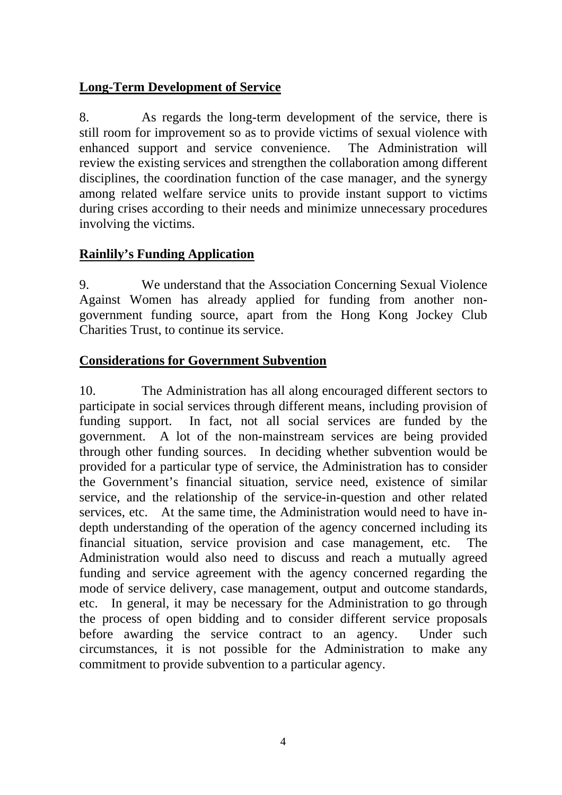# **Long-Term Development of Service**

8. As regards the long-term development of the service, there is still room for improvement so as to provide victims of sexual violence with enhanced support and service convenience. The Administration will review the existing services and strengthen the collaboration among different disciplines, the coordination function of the case manager, and the synergy among related welfare service units to provide instant support to victims during crises according to their needs and minimize unnecessary procedures involving the victims.

# **Rainlily's Funding Application**

9. We understand that the Association Concerning Sexual Violence Against Women has already applied for funding from another nongovernment funding source, apart from the Hong Kong Jockey Club Charities Trust, to continue its service.

# **Considerations for Government Subvention**

10. The Administration has all along encouraged different sectors to participate in social services through different means, including provision of funding support. In fact, not all social services are funded by the government. A lot of the non-mainstream services are being provided through other funding sources. In deciding whether subvention would be provided for a particular type of service, the Administration has to consider the Government's financial situation, service need, existence of similar service, and the relationship of the service-in-question and other related services, etc. At the same time, the Administration would need to have indepth understanding of the operation of the agency concerned including its financial situation, service provision and case management, etc. The Administration would also need to discuss and reach a mutually agreed funding and service agreement with the agency concerned regarding the mode of service delivery, case management, output and outcome standards, etc. In general, it may be necessary for the Administration to go through the process of open bidding and to consider different service proposals before awarding the service contract to an agency. Under such circumstances, it is not possible for the Administration to make any commitment to provide subvention to a particular agency.